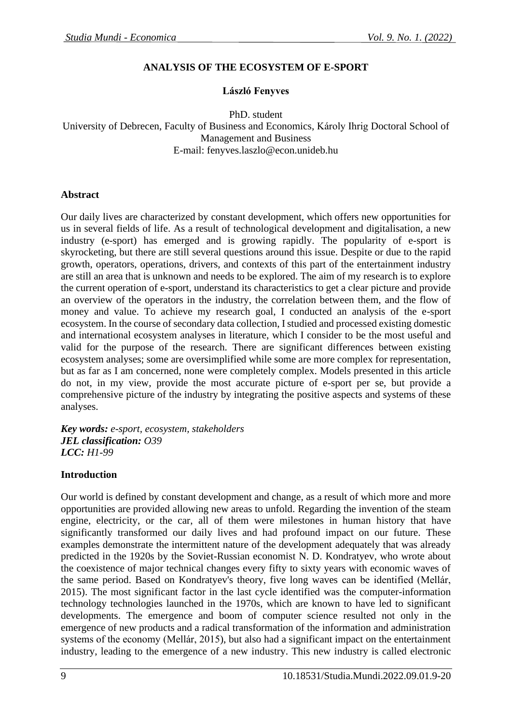### **ANALYSIS OF THE ECOSYSTEM OF E-SPORT**

### **László Fenyves**

PhD. student

University of Debrecen, Faculty of Business and Economics, Károly Ihrig Doctoral School of Management and Business E-mail: [fenyves.laszlo@econ.unideb.hu](mailto:fenyves.laszlo@econ.unideb.hu)

#### **Abstract**

Our daily lives are characterized by constant development, which offers new opportunities for us in several fields of life. As a result of technological development and digitalisation, a new industry (e-sport) has emerged and is growing rapidly. The popularity of e-sport is skyrocketing, but there are still several questions around this issue. Despite or due to the rapid growth, operators, operations, drivers, and contexts of this part of the entertainment industry are still an area that is unknown and needs to be explored. The aim of my research is to explore the current operation of e-sport, understand its characteristics to get a clear picture and provide an overview of the operators in the industry, the correlation between them, and the flow of money and value. To achieve my research goal, I conducted an analysis of the e-sport ecosystem. In the course of secondary data collection, I studied and processed existing domestic and international ecosystem analyses in literature, which I consider to be the most useful and valid for the purpose of the research. There are significant differences between existing ecosystem analyses; some are oversimplified while some are more complex for representation, but as far as I am concerned, none were completely complex. Models presented in this article do not, in my view, provide the most accurate picture of e-sport per se, but provide a comprehensive picture of the industry by integrating the positive aspects and systems of these analyses.

*Key words: e-sport, ecosystem, stakeholders JEL classification: O39 LCC: H1-99*

#### **Introduction**

Our world is defined by constant development and change, as a result of which more and more opportunities are provided allowing new areas to unfold. Regarding the invention of the steam engine, electricity, or the car, all of them were milestones in human history that have significantly transformed our daily lives and had profound impact on our future. These examples demonstrate the intermittent nature of the development adequately that was already predicted in the 1920s by the Soviet-Russian economist N. D. Kondratyev, who wrote about the coexistence of major technical changes every fifty to sixty years with economic waves of the same period. Based on Kondratyev's theory, five long waves can be identified (Mellár, 2015). The most significant factor in the last cycle identified was the computer-information technology technologies launched in the 1970s, which are known to have led to significant developments. The emergence and boom of computer science resulted not only in the emergence of new products and a radical transformation of the information and administration systems of the economy (Mellár, 2015), but also had a significant impact on the entertainment industry, leading to the emergence of a new industry. This new industry is called electronic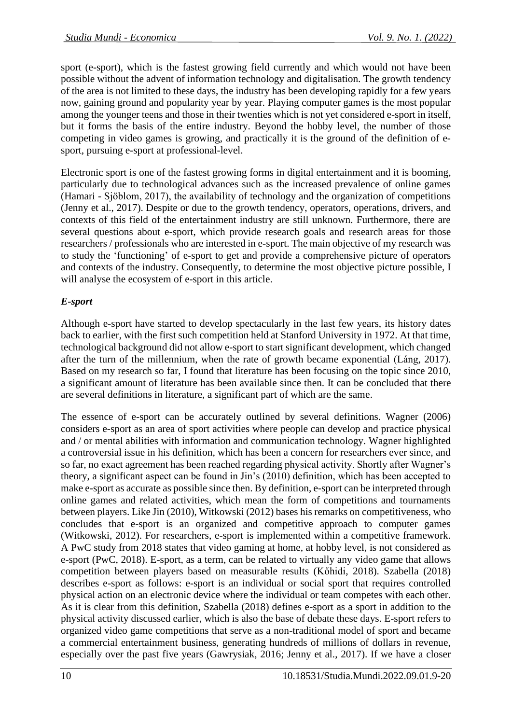sport (e-sport), which is the fastest growing field currently and which would not have been possible without the advent of information technology and digitalisation. The growth tendency of the area is not limited to these days, the industry has been developing rapidly for a few years now, gaining ground and popularity year by year. Playing computer games is the most popular among the younger teens and those in their twenties which is not yet considered e-sport in itself, but it forms the basis of the entire industry. Beyond the hobby level, the number of those competing in video games is growing, and practically it is the ground of the definition of esport, pursuing e-sport at professional-level.

Electronic sport is one of the fastest growing forms in digital entertainment and it is booming, particularly due to technological advances such as the increased prevalence of online games (Hamari - Sjöblom, 2017), the availability of technology and the organization of competitions (Jenny et al., 2017). Despite or due to the growth tendency, operators, operations, drivers, and contexts of this field of the entertainment industry are still unknown. Furthermore, there are several questions about e-sport, which provide research goals and research areas for those researchers / professionals who are interested in e-sport. The main objective of my research was to study the 'functioning' of e-sport to get and provide a comprehensive picture of operators and contexts of the industry. Consequently, to determine the most objective picture possible, I will analyse the ecosystem of e-sport in this article.

# *E-sport*

Although e-sport have started to develop spectacularly in the last few years, its history dates back to earlier, with the first such competition held at Stanford University in 1972. At that time, technological background did not allow e-sport to start significant development, which changed after the turn of the millennium, when the rate of growth became exponential (Láng, 2017). Based on my research so far, I found that literature has been focusing on the topic since 2010, a significant amount of literature has been available since then. It can be concluded that there are several definitions in literature, a significant part of which are the same.

The essence of e-sport can be accurately outlined by several definitions. Wagner (2006) considers e-sport as an area of sport activities where people can develop and practice physical and / or mental abilities with information and communication technology. Wagner highlighted a controversial issue in his definition, which has been a concern for researchers ever since, and so far, no exact agreement has been reached regarding physical activity. Shortly after Wagner's theory, a significant aspect can be found in Jin's (2010) definition, which has been accepted to make e-sport as accurate as possible since then. By definition, e-sport can be interpreted through online games and related activities, which mean the form of competitions and tournaments between players. Like Jin (2010), Witkowski (2012) bases his remarks on competitiveness, who concludes that e-sport is an organized and competitive approach to computer games (Witkowski, 2012). For researchers, e-sport is implemented within a competitive framework. A PwC study from 2018 states that video gaming at home, at hobby level, is not considered as e-sport (PwC, 2018). E-sport, as a term, can be related to virtually any video game that allows competition between players based on measurable results (Kőhidi, 2018). Szabella (2018) describes e-sport as follows: e-sport is an individual or social sport that requires controlled physical action on an electronic device where the individual or team competes with each other. As it is clear from this definition, Szabella (2018) defines e-sport as a sport in addition to the physical activity discussed earlier, which is also the base of debate these days. E-sport refers to organized video game competitions that serve as a non-traditional model of sport and became a commercial entertainment business, generating hundreds of millions of dollars in revenue, especially over the past five years (Gawrysiak, 2016; Jenny et al., 2017). If we have a closer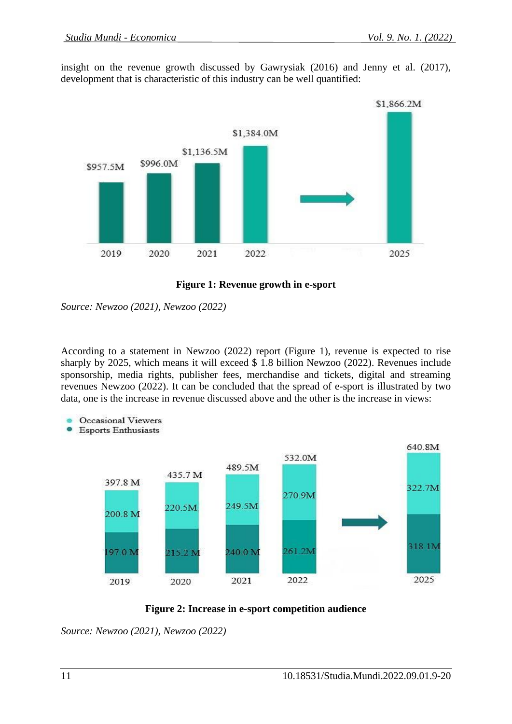insight on the revenue growth discussed by Gawrysiak (2016) and Jenny et al. (2017), development that is characteristic of this industry can be well quantified:



**Figure 1: Revenue growth in e-sport**

*Source: Newzoo (2021), Newzoo (2022)*

According to a statement in Newzoo (2022) report (Figure 1), revenue is expected to rise sharply by 2025, which means it will exceed \$ 1.8 billion Newzoo (2022). Revenues include sponsorship, media rights, publisher fees, merchandise and tickets, digital and streaming revenues Newzoo (2022). It can be concluded that the spread of e-sport is illustrated by two data, one is the increase in revenue discussed above and the other is the increase in views:



**Esports Enthusiasts** 





*Source: Newzoo (2021), Newzoo (2022)*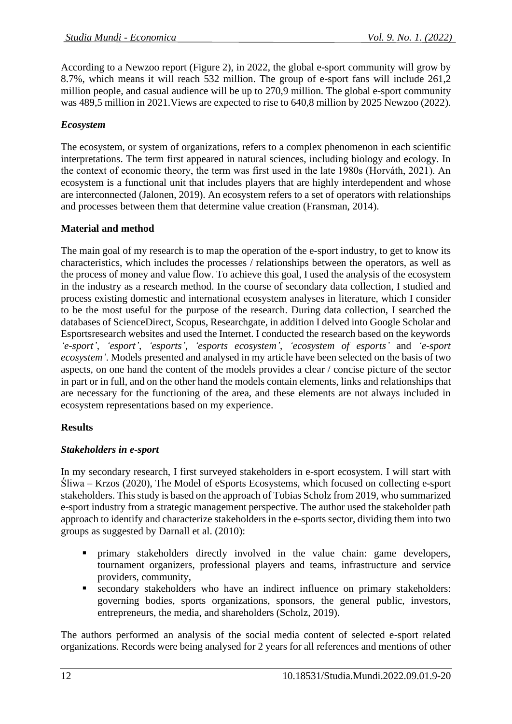According to a Newzoo report (Figure 2), in 2022, the global e-sport community will grow by 8.7%, which means it will reach 532 million. The group of e-sport fans will include 261,2 million people, and casual audience will be up to 270,9 million. The global e-sport community was 489,5 million in 2021.Views are expected to rise to 640,8 million by 2025 Newzoo (2022).

### *Ecosystem*

The ecosystem, or system of organizations, refers to a complex phenomenon in each scientific interpretations. The term first appeared in natural sciences, including biology and ecology. In the context of economic theory, the term was first used in the late 1980s (Horváth, 2021). An ecosystem is a functional unit that includes players that are highly interdependent and whose are interconnected (Jalonen, 2019). An ecosystem refers to a set of operators with relationships and processes between them that determine value creation (Fransman, 2014).

### **Material and method**

The main goal of my research is to map the operation of the e-sport industry, to get to know its characteristics, which includes the processes / relationships between the operators, as well as the process of money and value flow. To achieve this goal, I used the analysis of the ecosystem in the industry as a research method. In the course of secondary data collection, I studied and process existing domestic and international ecosystem analyses in literature, which I consider to be the most useful for the purpose of the research. During data collection, I searched the databases of ScienceDirect, Scopus, Researchgate, in addition I delved into Google Scholar and Esportsresearch websites and used the Internet. I conducted the research based on the keywords *'e-sport'*, *'esport'*, *'esports'*, *'esports ecosystem'*, *'ecosystem of esports'* and *'e-sport ecosystem'*. Models presented and analysed in my article have been selected on the basis of two aspects, on one hand the content of the models provides a clear / concise picture of the sector in part or in full, and on the other hand the models contain elements, links and relationships that are necessary for the functioning of the area, and these elements are not always included in ecosystem representations based on my experience.

# **Results**

### *Stakeholders in e-sport*

In my secondary research, I first surveyed stakeholders in e-sport ecosystem. I will start with Śliwa – Krzos (2020), The Model of eSports Ecosystems, which focused on collecting e-sport stakeholders. This study is based on the approach of Tobias Scholz from 2019, who summarized e-sport industry from a strategic management perspective. The author used the stakeholder path approach to identify and characterize stakeholders in the e-sports sector, dividing them into two groups as suggested by Darnall et al. (2010):

- primary stakeholders directly involved in the value chain: game developers, tournament organizers, professional players and teams, infrastructure and service providers, community,
- secondary stakeholders who have an indirect influence on primary stakeholders: governing bodies, sports organizations, sponsors, the general public, investors, entrepreneurs, the media, and shareholders (Scholz, 2019).

The authors performed an analysis of the social media content of selected e-sport related organizations. Records were being analysed for 2 years for all references and mentions of other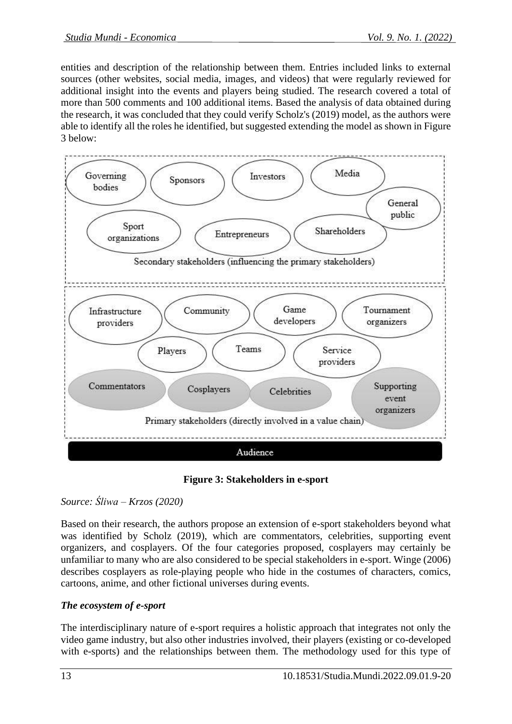entities and description of the relationship between them. Entries included links to external sources (other websites, social media, images, and videos) that were regularly reviewed for additional insight into the events and players being studied. The research covered a total of more than 500 comments and 100 additional items. Based the analysis of data obtained during the research, it was concluded that they could verify Scholz's (2019) model, as the authors were able to identify all the roles he identified, but suggested extending the model as shown in Figure 3 below:



**Figure 3: Stakeholders in e-sport**

# *Source: Śliwa – Krzos (2020)*

Based on their research, the authors propose an extension of e-sport stakeholders beyond what was identified by Scholz (2019), which are commentators, celebrities, supporting event organizers, and cosplayers. Of the four categories proposed, cosplayers may certainly be unfamiliar to many who are also considered to be special stakeholders in e-sport. Winge (2006) describes cosplayers as role-playing people who hide in the costumes of characters, comics, cartoons, anime, and other fictional universes during events.

# *The ecosystem of e-sport*

The interdisciplinary nature of e-sport requires a holistic approach that integrates not only the video game industry, but also other industries involved, their players (existing or co-developed with e-sports) and the relationships between them. The methodology used for this type of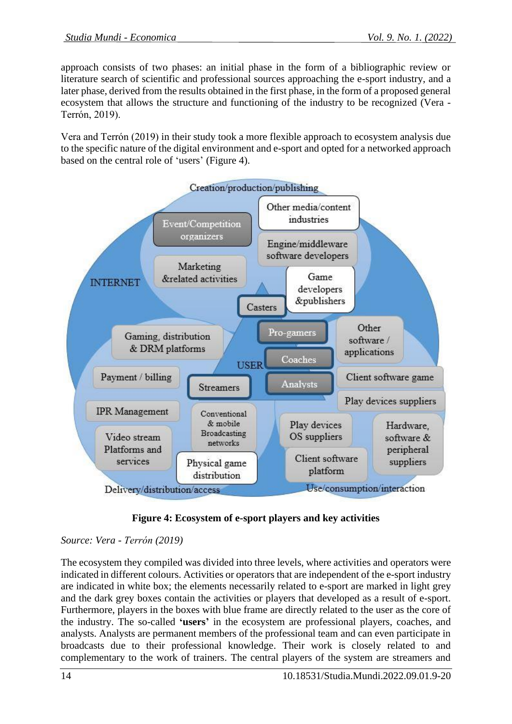approach consists of two phases: an initial phase in the form of a bibliographic review or literature search of scientific and professional sources approaching the e-sport industry, and a later phase, derived from the results obtained in the first phase, in the form of a proposed general ecosystem that allows the structure and functioning of the industry to be recognized (Vera - Terrón, 2019).

Vera and Terrón (2019) in their study took a more flexible approach to ecosystem analysis due to the specific nature of the digital environment and e-sport and opted for a networked approach based on the central role of 'users' (Figure 4).





# *Source: Vera - Terrón (2019)*

The ecosystem they compiled was divided into three levels, where activities and operators were indicated in different colours. Activities or operators that are independent of the e-sport industry are indicated in white box; the elements necessarily related to e-sport are marked in light grey and the dark grey boxes contain the activities or players that developed as a result of e-sport. Furthermore, players in the boxes with blue frame are directly related to the user as the core of the industry. The so-called **'users'** in the ecosystem are professional players, coaches, and analysts. Analysts are permanent members of the professional team and can even participate in broadcasts due to their professional knowledge. Their work is closely related to and complementary to the work of trainers. The central players of the system are streamers and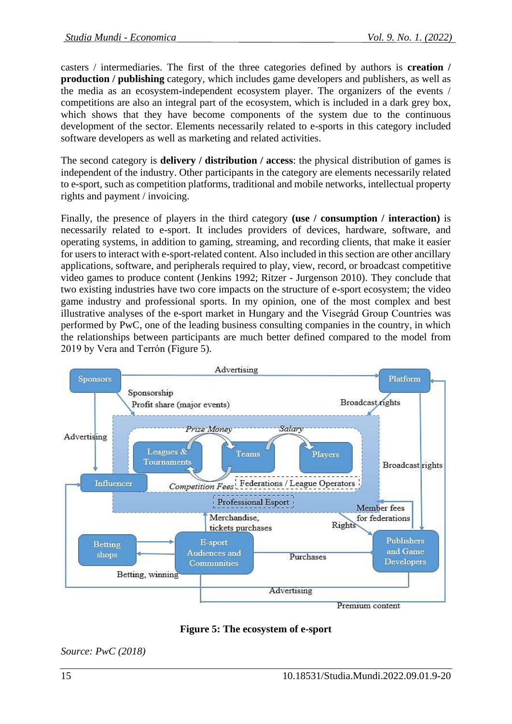casters / intermediaries. The first of the three categories defined by authors is **creation / production / publishing** category, which includes game developers and publishers, as well as the media as an ecosystem-independent ecosystem player. The organizers of the events / competitions are also an integral part of the ecosystem, which is included in a dark grey box, which shows that they have become components of the system due to the continuous development of the sector. Elements necessarily related to e-sports in this category included software developers as well as marketing and related activities.

The second category is **delivery / distribution / access**: the physical distribution of games is independent of the industry. Other participants in the category are elements necessarily related to e-sport, such as competition platforms, traditional and mobile networks, intellectual property rights and payment / invoicing.

Finally, the presence of players in the third category **(use / consumption / interaction)** is necessarily related to e-sport. It includes providers of devices, hardware, software, and operating systems, in addition to gaming, streaming, and recording clients, that make it easier for users to interact with e-sport-related content. Also included in this section are other ancillary applications, software, and peripherals required to play, view, record, or broadcast competitive video games to produce content (Jenkins 1992; Ritzer - Jurgenson 2010). They conclude that two existing industries have two core impacts on the structure of e-sport ecosystem; the video game industry and professional sports. In my opinion, one of the most complex and best illustrative analyses of the e-sport market in Hungary and the Visegrád Group Countries was performed by PwC, one of the leading business consulting companies in the country, in which the relationships between participants are much better defined compared to the model from 2019 by Vera and Terrón (Figure 5).



**Figure 5: The ecosystem of e-sport**

*Source: PwC (2018)*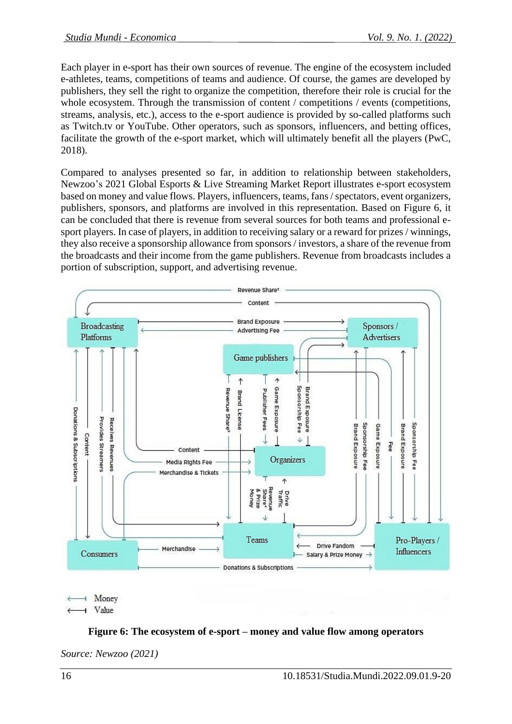Each player in e-sport has their own sources of revenue. The engine of the ecosystem included e-athletes, teams, competitions of teams and audience. Of course, the games are developed by publishers, they sell the right to organize the competition, therefore their role is crucial for the whole ecosystem. Through the transmission of content / competitions / events (competitions, streams, analysis, etc.), access to the e-sport audience is provided by so-called platforms such as Twitch.tv or YouTube. Other operators, such as sponsors, influencers, and betting offices, facilitate the growth of the e-sport market, which will ultimately benefit all the players (PwC, 2018).

Compared to analyses presented so far, in addition to relationship between stakeholders, Newzoo's 2021 Global Esports & Live Streaming Market Report illustrates e-sport ecosystem based on money and value flows. Players, influencers, teams, fans / spectators, event organizers, publishers, sponsors, and platforms are involved in this representation. Based on Figure 6, it can be concluded that there is revenue from several sources for both teams and professional esport players. In case of players, in addition to receiving salary or a reward for prizes / winnings, they also receive a sponsorship allowance from sponsors / investors, a share of the revenue from the broadcasts and their income from the game publishers. Revenue from broadcasts includes a portion of subscription, support, and advertising revenue.



H Money I Value

# **Figure 6: The ecosystem of e-sport – money and value flow among operators**

*Source: Newzoo (2021)*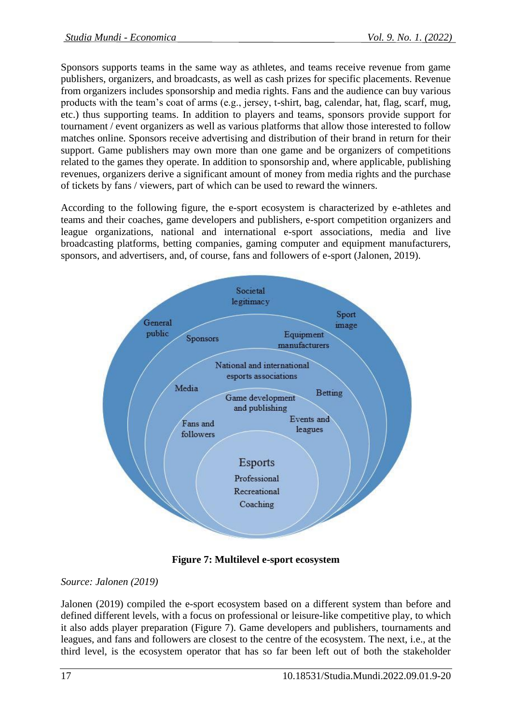Sponsors supports teams in the same way as athletes, and teams receive revenue from game publishers, organizers, and broadcasts, as well as cash prizes for specific placements. Revenue from organizers includes sponsorship and media rights. Fans and the audience can buy various products with the team's coat of arms (e.g., jersey, t-shirt, bag, calendar, hat, flag, scarf, mug, etc.) thus supporting teams. In addition to players and teams, sponsors provide support for tournament / event organizers as well as various platforms that allow those interested to follow matches online. Sponsors receive advertising and distribution of their brand in return for their support. Game publishers may own more than one game and be organizers of competitions related to the games they operate. In addition to sponsorship and, where applicable, publishing revenues, organizers derive a significant amount of money from media rights and the purchase of tickets by fans / viewers, part of which can be used to reward the winners.

According to the following figure, the e-sport ecosystem is characterized by e-athletes and teams and their coaches, game developers and publishers, e-sport competition organizers and league organizations, national and international e-sport associations, media and live broadcasting platforms, betting companies, gaming computer and equipment manufacturers, sponsors, and advertisers, and, of course, fans and followers of e-sport (Jalonen, 2019).



**Figure 7: Multilevel e-sport ecosystem**

# *Source: Jalonen (2019)*

Jalonen (2019) compiled the e-sport ecosystem based on a different system than before and defined different levels, with a focus on professional or leisure-like competitive play, to which it also adds player preparation (Figure 7). Game developers and publishers, tournaments and leagues, and fans and followers are closest to the centre of the ecosystem. The next, i.e., at the third level, is the ecosystem operator that has so far been left out of both the stakeholder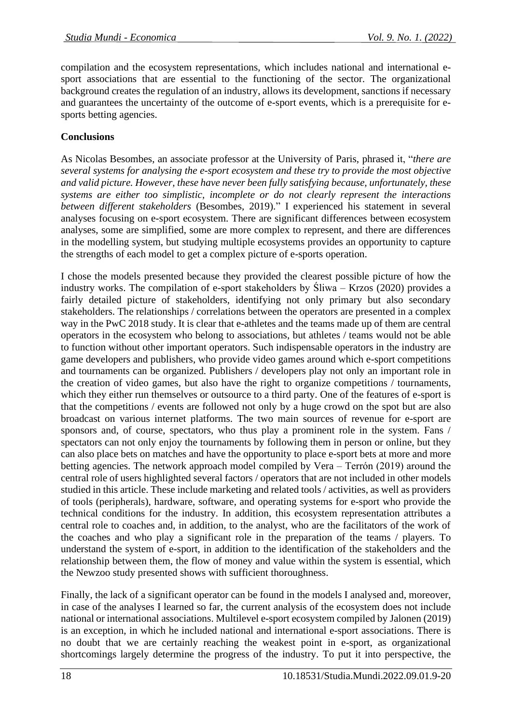compilation and the ecosystem representations, which includes national and international esport associations that are essential to the functioning of the sector. The organizational background creates the regulation of an industry, allows its development, sanctions if necessary and guarantees the uncertainty of the outcome of e-sport events, which is a prerequisite for esports betting agencies.

### **Conclusions**

As Nicolas Besombes, an associate professor at the University of Paris, phrased it, "*there are several systems for analysing the e-sport ecosystem and these try to provide the most objective and valid picture. However, these have never been fully satisfying because, unfortunately, these systems are either too simplistic, incomplete or do not clearly represent the interactions between different stakeholders* (Besombes, 2019)." I experienced his statement in several analyses focusing on e-sport ecosystem. There are significant differences between ecosystem analyses, some are simplified, some are more complex to represent, and there are differences in the modelling system, but studying multiple ecosystems provides an opportunity to capture the strengths of each model to get a complex picture of e-sports operation.

I chose the models presented because they provided the clearest possible picture of how the industry works. The compilation of e-sport stakeholders by Śliwa – Krzos (2020) provides a fairly detailed picture of stakeholders, identifying not only primary but also secondary stakeholders. The relationships / correlations between the operators are presented in a complex way in the PwC 2018 study. It is clear that e-athletes and the teams made up of them are central operators in the ecosystem who belong to associations, but athletes / teams would not be able to function without other important operators. Such indispensable operators in the industry are game developers and publishers, who provide video games around which e-sport competitions and tournaments can be organized. Publishers / developers play not only an important role in the creation of video games, but also have the right to organize competitions / tournaments, which they either run themselves or outsource to a third party. One of the features of e-sport is that the competitions / events are followed not only by a huge crowd on the spot but are also broadcast on various internet platforms. The two main sources of revenue for e-sport are sponsors and, of course, spectators, who thus play a prominent role in the system. Fans / spectators can not only enjoy the tournaments by following them in person or online, but they can also place bets on matches and have the opportunity to place e-sport bets at more and more betting agencies. The network approach model compiled by Vera – Terrón (2019) around the central role of users highlighted several factors / operators that are not included in other models studied in this article. These include marketing and related tools / activities, as well as providers of tools (peripherals), hardware, software, and operating systems for e-sport who provide the technical conditions for the industry. In addition, this ecosystem representation attributes a central role to coaches and, in addition, to the analyst, who are the facilitators of the work of the coaches and who play a significant role in the preparation of the teams / players. To understand the system of e-sport, in addition to the identification of the stakeholders and the relationship between them, the flow of money and value within the system is essential, which the Newzoo study presented shows with sufficient thoroughness.

Finally, the lack of a significant operator can be found in the models I analysed and, moreover, in case of the analyses I learned so far, the current analysis of the ecosystem does not include national or international associations. Multilevel e-sport ecosystem compiled by Jalonen (2019) is an exception, in which he included national and international e-sport associations. There is no doubt that we are certainly reaching the weakest point in e-sport, as organizational shortcomings largely determine the progress of the industry. To put it into perspective, the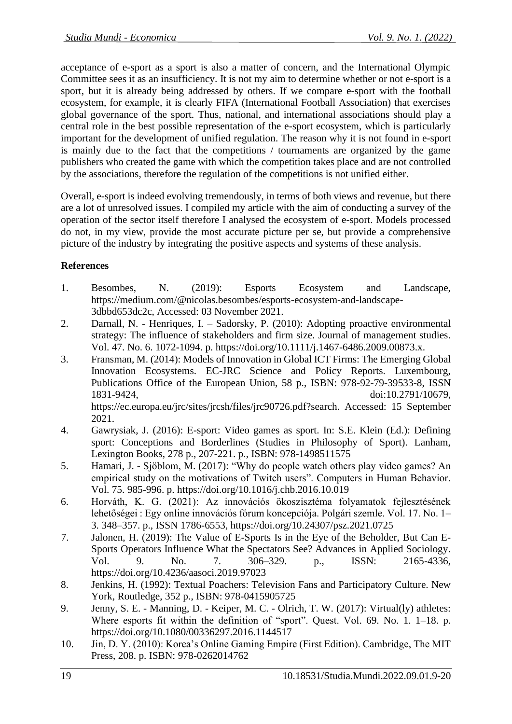acceptance of e-sport as a sport is also a matter of concern, and the International Olympic Committee sees it as an insufficiency. It is not my aim to determine whether or not e-sport is a sport, but it is already being addressed by others. If we compare e-sport with the football ecosystem, for example, it is clearly FIFA (International Football Association) that exercises global governance of the sport. Thus, national, and international associations should play a central role in the best possible representation of the e-sport ecosystem, which is particularly important for the development of unified regulation. The reason why it is not found in e-sport is mainly due to the fact that the competitions / tournaments are organized by the game publishers who created the game with which the competition takes place and are not controlled by the associations, therefore the regulation of the competitions is not unified either.

Overall, e-sport is indeed evolving tremendously, in terms of both views and revenue, but there are a lot of unresolved issues. I compiled my article with the aim of conducting a survey of the operation of the sector itself therefore I analysed the ecosystem of e-sport. Models processed do not, in my view, provide the most accurate picture per se, but provide a comprehensive picture of the industry by integrating the positive aspects and systems of these analysis.

### **References**

- 1. Besombes, N. (2019): Esports Ecosystem and Landscape, https://medium.com/@nicolas.besombes/esports-ecosystem-and-landscape-3dbbd653dc2c, Accessed: 03 November 2021.
- 2. Darnall, N. Henriques, I. Sadorsky, P. (2010): Adopting proactive environmental strategy: The influence of stakeholders and firm size. Journal of management studies. Vol. 47. No. 6. 1072-1094. p. https://doi.org/10.1111/j.1467-6486.2009.00873.x.
- 3. Fransman, M. (2014): Models of Innovation in Global ICT Firms: The Emerging Global Innovation Ecosystems. EC-JRC Science and Policy Reports. Luxembourg, Publications Office of the European Union, 58 p., ISBN: 978-92-79-39533-8, ISSN 1831-9424, doi:10.2791/10679, https://ec.europa.eu/jrc/sites/jrcsh/files/jrc90726.pdf?search. Accessed: 15 September 2021.
- 4. Gawrysiak, J. (2016): E-sport: Video games as sport. In: S.E. Klein (Ed.): Defining sport: Conceptions and Borderlines (Studies in Philosophy of Sport). Lanham, Lexington Books, 278 p., 207-221. p., ISBN: 978-1498511575
- 5. Hamari, J. Sjöblom, M. (2017): "Why do people watch others play video games? An empirical study on the motivations of Twitch users". Computers in Human Behavior. Vol. 75. 985-996. p. https://doi.org/10.1016/j.chb.2016.10.019
- 6. Horváth, K. G. (2021): Az innovációs ökoszisztéma folyamatok fejlesztésének lehetőségei : Egy online innovációs fórum koncepciója. Polgári szemle. Vol. 17. No. 1– 3. 348–357. p., ISSN 1786-6553, https://doi.org/10.24307/psz.2021.0725
- 7. Jalonen, H. (2019): The Value of E-Sports Is in the Eye of the Beholder, But Can E-Sports Operators Influence What the Spectators See? Advances in Applied Sociology. Vol. 9. No. 7. 306–329. p., ISSN: 2165-4336, https://doi.org/10.4236/aasoci.2019.97023
- 8. Jenkins, H. (1992): Textual Poachers: Television Fans and Participatory Culture. New York, Routledge, 352 p., ISBN: 978-0415905725
- 9. Jenny, S. E. Manning, D. Keiper, M. C. Olrich, T. W. (2017): Virtual(ly) athletes: Where esports fit within the definition of "sport". Quest. Vol. 69. No. 1. 1–18. p. https://doi.org/10.1080/00336297.2016.1144517
- 10. Jin, D. Y. (2010): Korea's Online Gaming Empire (First Edition). Cambridge, The MIT Press, 208. p. ISBN: 978-0262014762